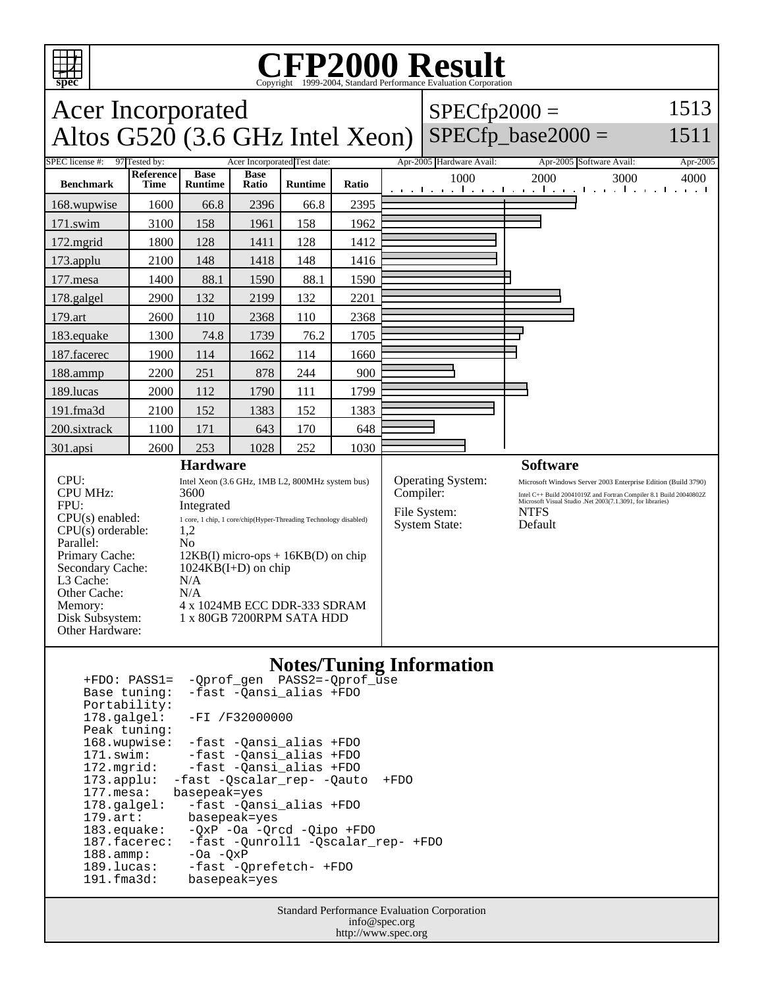

## **CFP2000 Result** Copyright ©1999-2004, Standard I

#### **spec** Acer Incorporated Altos  $G520$  (3.6 GHz Intel Xeon)  $SPECfp2000 =$  $SPECfp\_base2000 =$ 1513 1511 SPEC license #: 97 Tested by: Acer Incorporated Test date: Apr-2005 Hardware Avail: Apr-2005 Software Avail: Apr-2005 **Benchmark Reference Time Base Runtime Base Ratio Runtime Ratio** 1000 2000 3000 4000 168.wupwise 1600 66.8 2396 66.8 2395 171.swim | 3100 | 158 | 1961 | 158 | 1962 172.mgrid | 1800 | 128 | 1411 | 128 | 1412 173.applu | 2100 | 148 | 1418 | 148 | 1416 177.mesa | 1400 | 88.1 | 1590 | 88.1 | 1590 178.galgel | 2900 | 132 | 2199 | 132 | 2201 179.art 2600 110 2368 110 2368 183.equake 1300 74.8 1739 76.2 1705 187.facerec | 1900 | 114 | 1662 | 114 | 1660 188.ammp | 2200 | 251 | 878 | 244 | 900 189.lucas | 2000 | 112 | 1790 | 111 | 1799 191.fma3d 2100 152 1383 152 1383 200.sixtrack 1100 171 643 170 648 301.apsi 2600 253 1028 252 1030 **Hardware** CPU: Intel Xeon (3.6 GHz, 1MB L2, 800MHz system bus)<br>CPU MHz: 3600 CPU MHz: FPU: Integrated  $CPU(s) enable: 1 core, 1 chip, 1 core/chip(Hyper-Threading Technology disabled)$ <br> $CPU(s) orderable: 1.2$  $CPU(s)$  orderable: Parallel: No<br>Primary Cache: 12k Primary Cache: 12KB(I) micro-ops + 16KB(D) on chip<br>Secondary Cache: 1024KB(I+D) on chip **Software** Operating System: Microsoft Windows Server 2003 Enterprise Edition (Build 3790)<br>
Compiler: Intel C++ Build 20041019Z and Fortran Compiler 8.1 Build 20040802Z Compiler: Intel C++ Build 20041019Z and Fortran Compiler 8.1 Build 20040802Z<br>Microsoft Visual Studio .Net 2003(7.1.3091, for libraries) File System: NTFS System State: Default

### **Notes/Tuning Information** +FDO: PASS1= -Oprof\_gen PASS2=-Oprof

| $\sqrt{2}$ $\sqrt{2}$ $\sqrt{2}$ $\sqrt{2}$ $\sqrt{2}$ $\sqrt{2}$ $\sqrt{2}$ $\sqrt{2}$ $\sqrt{2}$ $\sqrt{2}$ $\sqrt{2}$ $\sqrt{2}$ $\sqrt{2}$ $\sqrt{2}$ $\sqrt{2}$ $\sqrt{2}$ $\sqrt{2}$ $\sqrt{2}$ $\sqrt{2}$ $\sqrt{2}$ $\sqrt{2}$ $\sqrt{2}$ $\sqrt{2}$ $\sqrt{2}$ $\sqrt{2}$ $\sqrt{2}$ $\sqrt{2}$ $\sqrt{2$ |
|--------------------------------------------------------------------------------------------------------------------------------------------------------------------------------------------------------------------------------------------------------------------------------------------------------------------|
| -fast -Qansi alias +FDO                                                                                                                                                                                                                                                                                            |
|                                                                                                                                                                                                                                                                                                                    |
| 178.galgel: -FI /F32000000                                                                                                                                                                                                                                                                                         |
|                                                                                                                                                                                                                                                                                                                    |
| -fast -Qansi alias +FDO                                                                                                                                                                                                                                                                                            |
| -fast -Qansi_alias +FDO                                                                                                                                                                                                                                                                                            |
| -fast -Qansi_alias +FDO                                                                                                                                                                                                                                                                                            |
| 173.applu: -fast -Qscalar rep- -Qauto<br>$+FDO$                                                                                                                                                                                                                                                                    |
| basepeak=yes                                                                                                                                                                                                                                                                                                       |
| -fast -Qansi_alias +FDO                                                                                                                                                                                                                                                                                            |
| basepeak=yes                                                                                                                                                                                                                                                                                                       |
| $-OXP -Oa -Orcd -Oipo +FDO$                                                                                                                                                                                                                                                                                        |
| -fast -Ounroll1 -Oscalar rep- +FDO                                                                                                                                                                                                                                                                                 |
| $-Oa - OxP$                                                                                                                                                                                                                                                                                                        |
| -fast -Oprefetch- +FDO                                                                                                                                                                                                                                                                                             |
| basepeak=yes                                                                                                                                                                                                                                                                                                       |
|                                                                                                                                                                                                                                                                                                                    |

 $1024KB(I+D)$  on chip

Disk Subsystem: 1 x 80GB 7200RPM SATA HDD

4 x 1024MB ECC DDR-333 SDRAM

L3 Cache: N/A<br>Other Cache: N/A

Other Cache:<br>Memory:

Other Hardware:

Standard Performance Evaluation Corporation info@spec.org http://www.spec.org